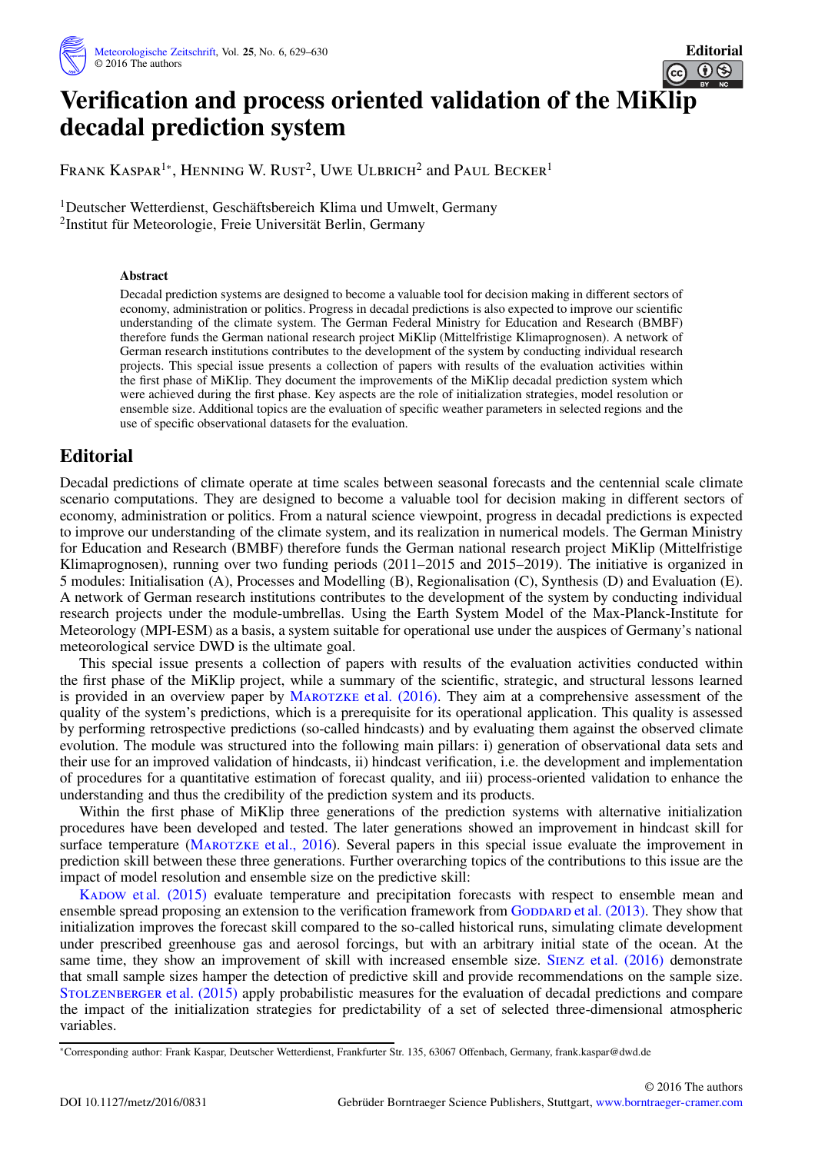

## **Verification and process oriented validation of the Mi[Klip](https://creativecommons.org/licenses/by-nc/3.0/) decadal prediction system**

Frank Kaspar<sup>1</sup>\*, Henning W. Rust<sup>2</sup>, Uwe Ulbrich<sup>2</sup> and Paul Becker<sup>1</sup>

1Deutscher Wetterdienst, Geschäftsbereich Klima und Umwelt, Germany 2Institut für Meteorologie, Freie Universität Berlin, Germany

## **Abstract**

Decadal prediction systems are designed to become a valuable tool for decision making in different sectors of economy, administration or politics. Progress in decadal predictions is also expected to improve our scientific understanding of the climate system. The German Federal Ministry for Education and Research (BMBF) therefore funds the German national research project MiKlip (Mittelfristige Klimaprognosen). A network of German research institutions contributes to the development of the system by conducting individual research projects. This special issue presents a collection of papers with results of the evaluation activities within the first phase of MiKlip. They document the improvements of the MiKlip decadal prediction system which were achieved during the first phase. Key aspects are the role of initialization strategies, model resolution or ensemble size. Additional topics are the evaluation of specific weather parameters in selected regions and the use of specific observational datasets for the evaluation.

## **Editorial**

Decadal predictions of climate operate at time scales between seasonal forecasts and the centennial scale climate scenario computations. They are designed to become a valuable tool for decision making in different sectors of economy, administration or politics. From a natural science viewpoint, progress in decadal predictions is expected to improve our understanding of the climate system, and its realization in numerical models. The German Ministry for Education and Research (BMBF) therefore funds the German national research project MiKlip (Mittelfristige Klimaprognosen), running over two funding periods (2011–2015 and 2015–2019). The initiative is organized in 5 modules: Initialisation (A), Processes and Modelling (B), Regionalisation (C), Synthesis (D) and Evaluation (E). A network of German research institutions contributes to the development of the system by conducting individual research projects under the module-umbrellas. Using the Earth System Model of the Max-Planck-Institute for Meteorology (MPI-ESM) as a basis, a system suitable for operational use under the auspices of Germany's national meteorological service DWD is the ultimate goal.

This special issue presents a collection of papers with results of the evaluation activities conducted within the first phase of the MiKlip project, while a summary of the scientific, strategic, and structural lessons learned is provided in an overview paper by MAROTZKE [et al. \(2016\).](#page-1-0) They aim at a comprehensive assessment of the quality of the system's predictions, which is a prerequisite for its operational application. This quality is assessed by performing retrospective predictions (so-called hindcasts) and by evaluating them against the observed climate evolution. The module was structured into the following main pillars: i) generation of observational data sets and their use for an improved validation of hindcasts, ii) hindcast verification, i.e. the development and implementation of procedures for a quantitative estimation of forecast quality, and iii) process-oriented validation to enhance the understanding and thus the credibility of the prediction system and its products.

Within the first phase of MiKlip three generations of the prediction systems with alternative initialization procedures have been developed and tested. The later generations showed an improvement in hindcast skill for surface temperature (MAROTZKE et al., 2016). Several papers in this special issue evaluate the improvement in prediction skill between these three generations. Further overarching topics of the contributions to this issue are the impact of model resolution and ensemble size on the predictive skill:

KADOW [et al. \(2015\)](#page-1-1) evaluate temperature and precipitation forecasts with respect to ensemble mean and ensemble spread proposing an extension to the verification framework from GODDARD [et al. \(2013\).](#page-1-2) They show that initialization improves the forecast skill compared to the so-called historical runs, simulating climate development under prescribed greenhouse gas and aerosol forcings, but with an arbitrary initial state of the ocean. At the same time, they show an improvement of skill with increased ensemble size. SIENZ [et al. \(2016\)](#page-1-3) demonstrate that small sample sizes hamper the detection of predictive skill and provide recommendations on the sample size. STOLZENBERGER et al. (2015) apply probabilistic measures for the evaluation of decadal predictions and compare the impact of the initialization strategies for predictability of a set of selected three-dimensional atmospheric variables.

<sup>∗</sup>Corresponding author: Frank Kaspar, Deutscher Wetterdienst, Frankfurter Str. 135, 63067 Offenbach, Germany, frank.kaspar@dwd.de